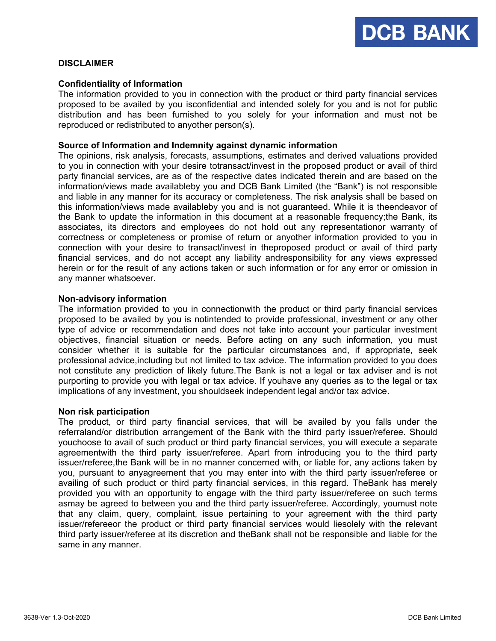

# **DISCLAIMER**

### **Confidentiality of Information**

The information provided to you in connection with the product or third party financial services proposed to be availed by you isconfidential and intended solely for you and is not for public distribution and has been furnished to you solely for your information and must not be reproduced or redistributed to anyother person(s).

#### **Source of Information and Indemnity against dynamic information**

The opinions, risk analysis, forecasts, assumptions, estimates and derived valuations provided to you in connection with your desire totransact/invest in the proposed product or avail of third party financial services, are as of the respective dates indicated therein and are based on the information/views made availableby you and DCB Bank Limited (the "Bank") is not responsible and liable in any manner for its accuracy or completeness. The risk analysis shall be based on this information/views made availableby you and is not guaranteed. While it is theendeavor of the Bank to update the information in this document at a reasonable frequency;the Bank, its associates, its directors and employees do not hold out any representationor warranty of correctness or completeness or promise of return or anyother information provided to you in connection with your desire to transact/invest in theproposed product or avail of third party financial services, and do not accept any liability andresponsibility for any views expressed herein or for the result of any actions taken or such information or for any error or omission in any manner whatsoever.

### **Non-advisory information**

The information provided to you in connectionwith the product or third party financial services proposed to be availed by you is notintended to provide professional, investment or any other type of advice or recommendation and does not take into account your particular investment objectives, financial situation or needs. Before acting on any such information, you must consider whether it is suitable for the particular circumstances and, if appropriate, seek professional advice,including but not limited to tax advice. The information provided to you does not constitute any prediction of likely future.The Bank is not a legal or tax adviser and is not purporting to provide you with legal or tax advice. If youhave any queries as to the legal or tax implications of any investment, you shouldseek independent legal and/or tax advice.

#### **Non risk participation**

The product, or third party financial services, that will be availed by you falls under the referraland/or distribution arrangement of the Bank with the third party issuer/referee. Should youchoose to avail of such product or third party financial services, you will execute a separate agreementwith the third party issuer/referee. Apart from introducing you to the third party issuer/referee,the Bank will be in no manner concerned with, or liable for, any actions taken by you, pursuant to anyagreement that you may enter into with the third party issuer/referee or availing of such product or third party financial services, in this regard. TheBank has merely provided you with an opportunity to engage with the third party issuer/referee on such terms asmay be agreed to between you and the third party issuer/referee. Accordingly, youmust note that any claim, query, complaint, issue pertaining to your agreement with the third party issuer/refereeor the product or third party financial services would liesolely with the relevant third party issuer/referee at its discretion and theBank shall not be responsible and liable for the same in any manner.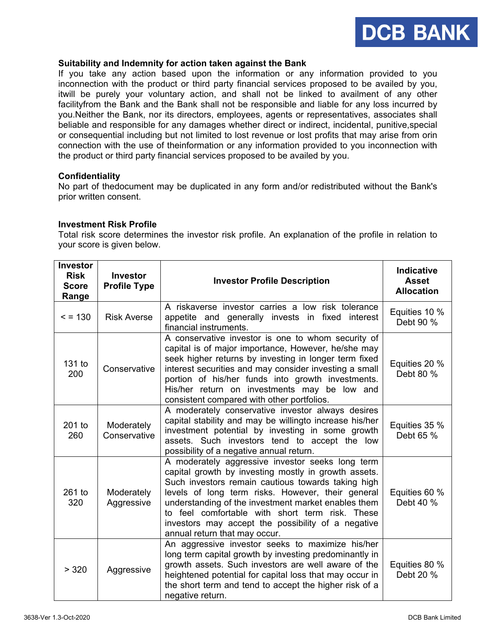

# **Suitability and Indemnity for action taken against the Bank**

If you take any action based upon the information or any information provided to you inconnection with the product or third party financial services proposed to be availed by you, itwill be purely your voluntary action, and shall not be linked to availment of any other facilityfrom the Bank and the Bank shall not be responsible and liable for any loss incurred by you.Neither the Bank, nor its directors, employees, agents or representatives, associates shall beliable and responsible for any damages whether direct or indirect, incidental, punitive,special or consequential including but not limited to lost revenue or lost profits that may arise from orin connection with the use of theinformation or any information provided to you inconnection with the product or third party financial services proposed to be availed by you.

## **Confidentiality**

No part of thedocument may be duplicated in any form and/or redistributed without the Bank's prior written consent.

## **Investment Risk Profile**

Total risk score determines the investor risk profile. An explanation of the profile in relation to your score is given below.

| <b>Investor</b><br><b>Risk</b><br><b>Score</b><br>Range | <b>Investor</b><br><b>Profile Type</b> | <b>Investor Profile Description</b>                                                                                                                                                                                                                                                                                                                                                                                  | <b>Indicative</b><br><b>Asset</b><br><b>Allocation</b> |
|---------------------------------------------------------|----------------------------------------|----------------------------------------------------------------------------------------------------------------------------------------------------------------------------------------------------------------------------------------------------------------------------------------------------------------------------------------------------------------------------------------------------------------------|--------------------------------------------------------|
| $= 130$                                                 | <b>Risk Averse</b>                     | A riskaverse investor carries a low risk tolerance<br>appetite and generally invests in fixed interest<br>financial instruments.                                                                                                                                                                                                                                                                                     | Equities 10 %<br>Debt 90 %                             |
| 131 to<br>200                                           | Conservative                           | A conservative investor is one to whom security of<br>capital is of major importance, However, he/she may<br>seek higher returns by investing in longer term fixed<br>interest securities and may consider investing a small<br>portion of his/her funds into growth investments.<br>His/her return on investments may be low and<br>consistent compared with other portfolios.                                      | Equities 20 %<br>Debt 80 %                             |
| 201 to<br>260                                           | Moderately<br>Conservative             | A moderately conservative investor always desires<br>capital stability and may be willingto increase his/her<br>investment potential by investing in some growth<br>assets. Such investors tend to accept the low<br>possibility of a negative annual return.                                                                                                                                                        | Equities 35 %<br>Debt 65 %                             |
| 261 to<br>320                                           | Moderately<br>Aggressive               | A moderately aggressive investor seeks long term<br>capital growth by investing mostly in growth assets.<br>Such investors remain cautious towards taking high<br>levels of long term risks. However, their general<br>understanding of the investment market enables them<br>to feel comfortable with short term risk. These<br>investors may accept the possibility of a negative<br>annual return that may occur. | Equities 60 %<br>Debt 40 %                             |
| > 320                                                   | Aggressive                             | An aggressive investor seeks to maximize his/her<br>long term capital growth by investing predominantly in<br>growth assets. Such investors are well aware of the<br>heightened potential for capital loss that may occur in<br>the short term and tend to accept the higher risk of a<br>negative return.                                                                                                           | Equities 80 %<br>Debt 20 %                             |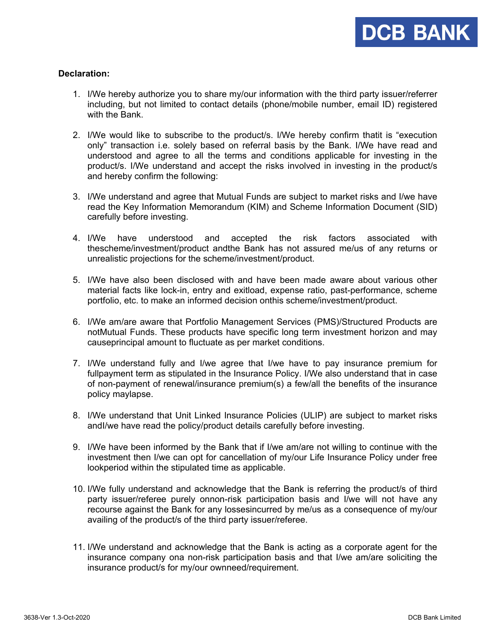# **Declaration:**

- 1. I/We hereby authorize you to share my/our information with the third party issuer/referrer including, but not limited to contact details (phone/mobile number, email ID) registered with the Bank.
- 2. I/We would like to subscribe to the product/s. I/We hereby confirm thatit is "execution only" transaction i.e. solely based on referral basis by the Bank. I/We have read and understood and agree to all the terms and conditions applicable for investing in the product/s. I/We understand and accept the risks involved in investing in the product/s and hereby confirm the following:
- 3. I/We understand and agree that Mutual Funds are subject to market risks and I/we have read the Key Information Memorandum (KIM) and Scheme Information Document (SID) carefully before investing.
- 4. I/We have understood and accepted the risk factors associated with thescheme/investment/product andthe Bank has not assured me/us of any returns or unrealistic projections for the scheme/investment/product.
- 5. I/We have also been disclosed with and have been made aware about various other material facts like lock-in, entry and exitload, expense ratio, past-performance, scheme portfolio, etc. to make an informed decision onthis scheme/investment/product.
- 6. I/We am/are aware that Portfolio Management Services (PMS)/Structured Products are notMutual Funds. These products have specific long term investment horizon and may causeprincipal amount to fluctuate as per market conditions.
- 7. I/We understand fully and I/we agree that I/we have to pay insurance premium for fullpayment term as stipulated in the Insurance Policy. I/We also understand that in case of non-payment of renewal/insurance premium(s) a few/all the benefits of the insurance policy maylapse.
- 8. I/We understand that Unit Linked Insurance Policies (ULIP) are subject to market risks andI/we have read the policy/product details carefully before investing.
- 9. I/We have been informed by the Bank that if I/we am/are not willing to continue with the investment then I/we can opt for cancellation of my/our Life Insurance Policy under free lookperiod within the stipulated time as applicable.
- 10. I/We fully understand and acknowledge that the Bank is referring the product/s of third party issuer/referee purely onnon-risk participation basis and I/we will not have any recourse against the Bank for any lossesincurred by me/us as a consequence of my/our availing of the product/s of the third party issuer/referee.
- 11. I/We understand and acknowledge that the Bank is acting as a corporate agent for the insurance company ona non-risk participation basis and that I/we am/are soliciting the insurance product/s for my/our ownneed/requirement.